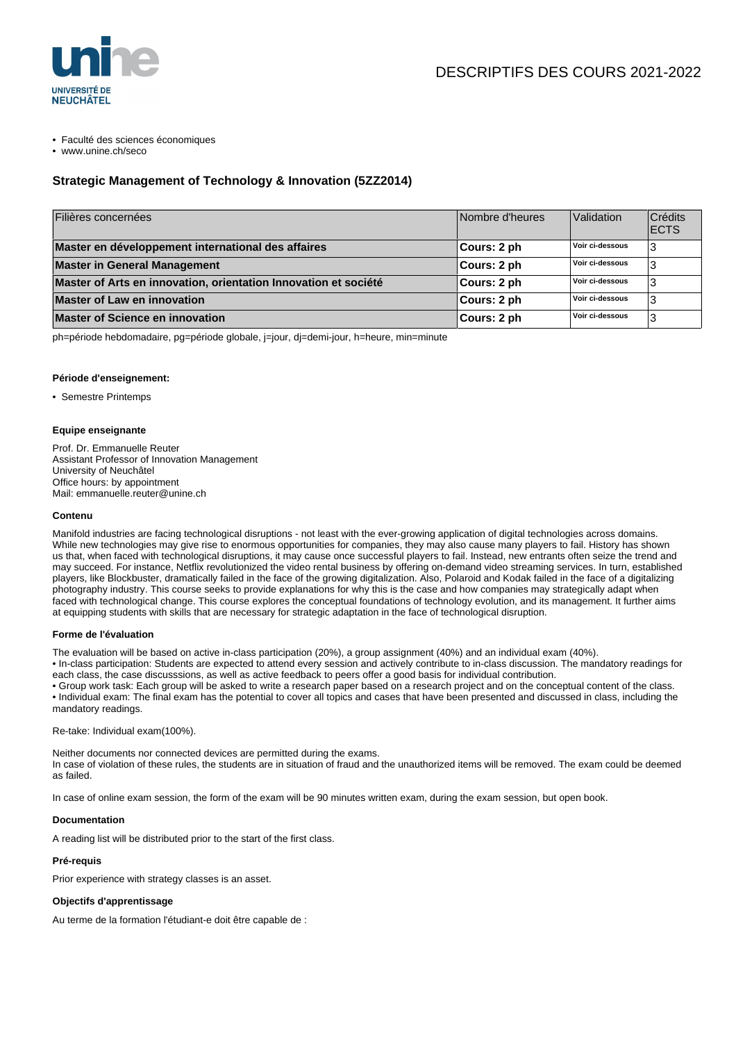

• Faculté des sciences économiques

• www.unine.ch/seco

## **Strategic Management of Technology & Innovation (5ZZ2014)**

| Filières concernées                                             | Nombre d'heures | Validation      | Crédits<br><b>IECTS</b> |
|-----------------------------------------------------------------|-----------------|-----------------|-------------------------|
| Master en développement international des affaires              | ∣Cours: 2 ph    | Voir ci-dessous | 3                       |
| <b>Master in General Management</b>                             | Cours: 2 ph     | Voir ci-dessous | د                       |
| Master of Arts en innovation, orientation Innovation et société | Cours: 2 ph     | Voir ci-dessous |                         |
| <b>Master of Law en innovation</b>                              | Cours: 2 ph     | Voir ci-dessous | J.                      |
| <b>Master of Science en innovation</b>                          | Cours: 2 ph     | Voir ci-dessous | 3                       |

ph=période hebdomadaire, pg=période globale, j=jour, dj=demi-jour, h=heure, min=minute

#### **Période d'enseignement:**

• Semestre Printemps

### **Equipe enseignante**

Prof. Dr. Emmanuelle Reuter Assistant Professor of Innovation Management University of Neuchâtel Office hours: by appointment Mail: emmanuelle.reuter@unine.ch

#### **Contenu**

Manifold industries are facing technological disruptions - not least with the ever-growing application of digital technologies across domains. While new technologies may give rise to enormous opportunities for companies, they may also cause many players to fail. History has shown us that, when faced with technological disruptions, it may cause once successful players to fail. Instead, new entrants often seize the trend and may succeed. For instance, Netflix revolutionized the video rental business by offering on-demand video streaming services. In turn, established players, like Blockbuster, dramatically failed in the face of the growing digitalization. Also, Polaroid and Kodak failed in the face of a digitalizing photography industry. This course seeks to provide explanations for why this is the case and how companies may strategically adapt when faced with technological change. This course explores the conceptual foundations of technology evolution, and its management. It further aims at equipping students with skills that are necessary for strategic adaptation in the face of technological disruption.

#### **Forme de l'évaluation**

The evaluation will be based on active in-class participation (20%), a group assignment (40%) and an individual exam (40%).

• In-class participation: Students are expected to attend every session and actively contribute to in-class discussion. The mandatory readings for each class, the case discusssions, as well as active feedback to peers offer a good basis for individual contribution.

• Group work task: Each group will be asked to write a research paper based on a research project and on the conceptual content of the class. • Individual exam: The final exam has the potential to cover all topics and cases that have been presented and discussed in class, including the mandatory readings.

Re-take: Individual exam(100%).

Neither documents nor connected devices are permitted during the exams. In case of violation of these rules, the students are in situation of fraud and the unauthorized items will be removed. The exam could be deemed as failed.

In case of online exam session, the form of the exam will be 90 minutes written exam, during the exam session, but open book.

### **Documentation**

A reading list will be distributed prior to the start of the first class.

#### **Pré-requis**

Prior experience with strategy classes is an asset.

#### **Objectifs d'apprentissage**

Au terme de la formation l'étudiant-e doit être capable de :